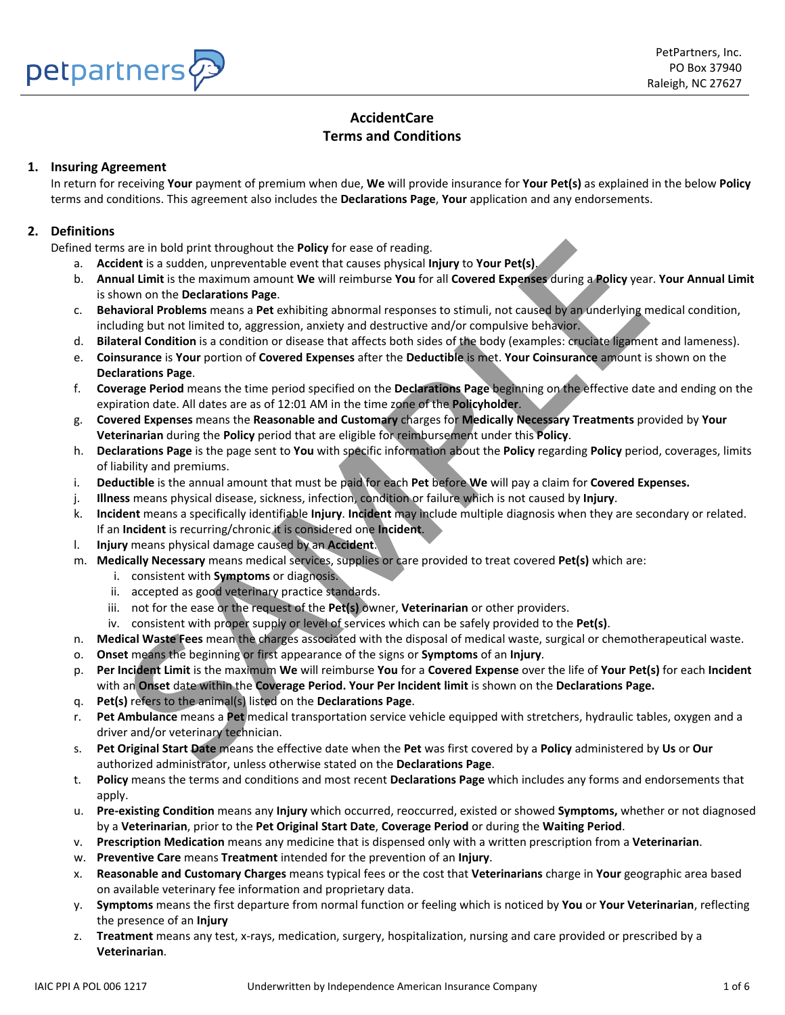

# **AccidentCare Terms and Conditions**

# **1. Insuring Agreement**

In return for receiving **Your** payment of premium when due, **We** will provide insurance for **Your Pet(s)** as explained in the below **Policy** terms and conditions. This agreement also includes the **Declarations Page**, **Your** application and any endorsements.

# **2. Definitions**

Defined terms are in bold print throughout the **Policy** for ease of reading.

- a. **Accident** is a sudden, unpreventable event that causes physical **Injury** to **Your Pet(s)**.
- b. **Annual Limit** is the maximum amount **We** will reimburse **You** for all **Covered Expenses** during a **Policy** year. **Your Annual Limit** is shown on the **Declarations Page**.
- c. **Behavioral Problems** means a **Pet** exhibiting abnormal responses to stimuli, not caused by an underlying medical condition, including but not limited to, aggression, anxiety and destructive and/or compulsive behavior.
- d. **Bilateral Condition** is a condition or disease that affects both sides of the body (examples: cruciate ligament and lameness).
- e. **Coinsurance** is **Your** portion of **Covered Expenses** after the **Deductible** is met. **Your Coinsurance** amount is shown on the **Declarations Page**.
- f. **Coverage Period** means the time period specified on the **Declarations Page** beginning on the effective date and ending on the expiration date. All dates are as of 12:01 AM in the time zone of the **Policyholder**.
- g. **Covered Expenses** means the **Reasonable and Customary** charges for **Medically Necessary Treatments** provided by **Your Veterinarian** during the **Policy** period that are eligible for reimbursement under this **Policy**.
- h. **Declarations Page** is the page sent to **You** with specific information about the **Policy** regarding **Policy** period, coverages, limits of liability and premiums.
- i. **Deductible** is the annual amount that must be paid for each **Pet** before **We** will pay a claim for **Covered Expenses.**
- j. **Illness** means physical disease, sickness, infection, condition or failure which is not caused by **Injury**.
- k. **Incident** means a specifically identifiable **Injury**. **Incident** may include multiple diagnosis when they are secondary or related. If an **Incident** is recurring/chronic it is considered one **Incident**.
- l. **Injury** means physical damage caused by an **Accident**.
- m. **Medically Necessary** means medical services, supplies or care provided to treat covered **Pet(s)** which are:
	- i. consistent with **Symptoms** or diagnosis.
	- ii. accepted as good veterinary practice standards.
	- iii. not for the ease or the request of the **Pet(s)** owner, **Veterinarian** or other providers.
	- iv. consistent with proper supply or level of services which can be safely provided to the **Pet(s)**.
- n. **Medical Waste Fees** mean the charges associated with the disposal of medical waste, surgical or chemotherapeutical waste.
- o. **Onset** means the beginning or first appearance of the signs or **Symptoms** of an **Injury**.
- p. **Per Incident Limit** is the maximum **We** will reimburse **You** for a **Covered Expense** over the life of **Your Pet(s)** for each **Incident** with an **Onset** date within the **Coverage Period. Your Per Incident limit** is shown on the **Declarations Page.** is are in bold print throughout the Policy for ease of reading.<br>
Seare in bold print throughout the Policy for ease of reading.<br>
Search and the because the feature of the production and the prediction and the prediction of
- q. **Pet(s)** refers to the animal(s) listed on the **Declarations Page**.
- r. **Pet Ambulance** means a **Pet** medical transportation service vehicle equipped with stretchers, hydraulic tables, oxygen and a driver and/or veterinary technician.
- s. **Pet Original Start Date** means the effective date when the **Pet** was first covered by a **Policy** administered by **Us** or **Our** authorized administrator, unless otherwise stated on the **Declarations Page**.
- t. **Policy** means the terms and conditions and most recent **Declarations Page** which includes any forms and endorsements that apply.
- u. **Pre-existing Condition** means any **Injury** which occurred, reoccurred, existed or showed **Symptoms,** whether or not diagnosed by a **Veterinarian**, prior to the **Pet Original Start Date**, **Coverage Period** or during the **Waiting Period**.
- v. **Prescription Medication** means any medicine that is dispensed only with a written prescription from a **Veterinarian**.
- w. **Preventive Care** means **Treatment** intended for the prevention of an **Injury**.
- x. **Reasonable and Customary Charges** means typical fees or the cost that **Veterinarians** charge in **Your** geographic area based on available veterinary fee information and proprietary data.
- y. **Symptoms** means the first departure from normal function or feeling which is noticed by **You** or **Your Veterinarian**, reflecting the presence of an **Injury**
- z. **Treatment** means any test, x-rays, medication, surgery, hospitalization, nursing and care provided or prescribed by a **Veterinarian**.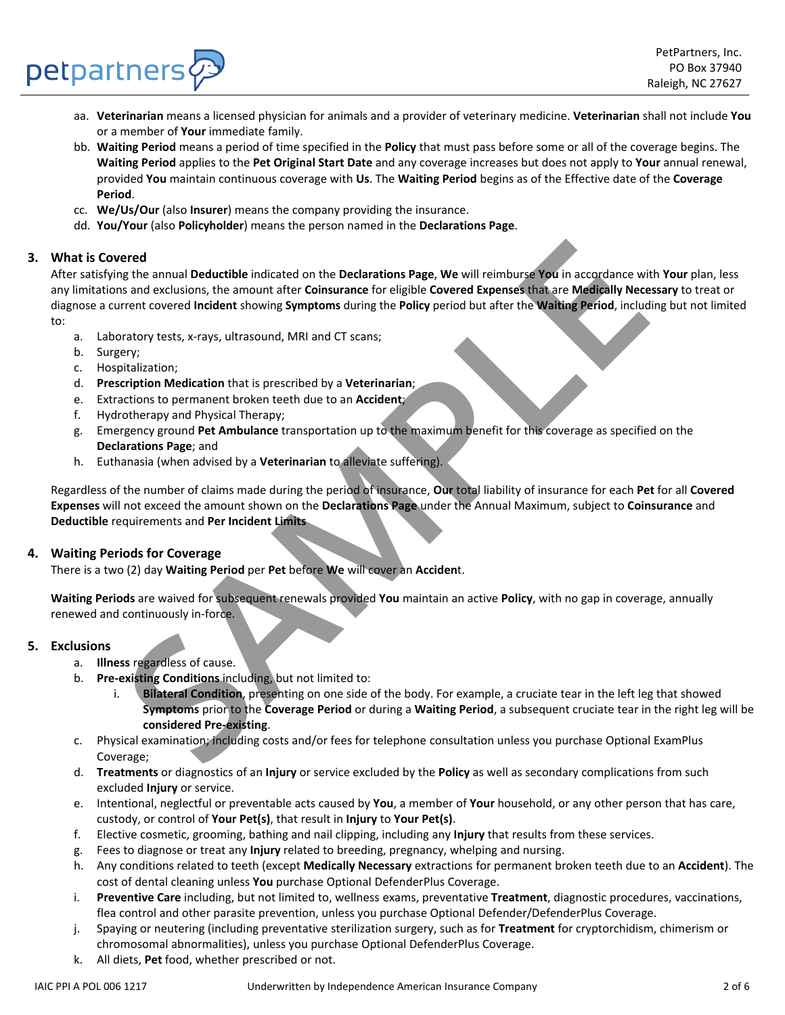- aa. **Veterinarian** means a licensed physician for animals and a provider of veterinary medicine. **Veterinarian** shall not include **You**  or a member of **Your** immediate family.
- bb. **Waiting Period** means a period of time specified in the **Policy** that must pass before some or all of the coverage begins. The **Waiting Period** applies to the **Pet Original Start Date** and any coverage increases but does not apply to **Your** annual renewal, provided **You** maintain continuous coverage with **Us**. The **Waiting Period** begins as of the Effective date of the **Coverage Period**.
- cc. **We/Us/Our** (also **Insurer**) means the company providing the insurance.
- dd. **You/Your** (also **Policyholder**) means the person named in the **Declarations Page**.

## **3. What is Covered**

petpartners

After satisfying the annual **Deductible** indicated on the **Declarations Page**, **We** will reimburse **You** in accordance with **Your** plan, less any limitations and exclusions, the amount after **Coinsurance** for eligible **Covered Expenses** that are **Medically Necessary** to treat or diagnose a current covered **Incident** showing **Symptoms** during the **Policy** period but after the **Waiting Period**, including but not limited to: ered<br>
ered<br>
at exclusions, the amount after Coinsurance for eligible Covered Expenses that are Medically Necessary<br>
SAMPLE CONSIDE SUPPOSE THE CONSIDE COVERED COVERED AND THE PROPERTIES INTO THE PROPERTIES AT A MAN INTERFE

- a. Laboratory tests, x-rays, ultrasound, MRI and CT scans;
- b. Surgery;
- c. Hospitalization;
- d. **Prescription Medication** that is prescribed by a **Veterinarian**;
- e. Extractions to permanent broken teeth due to an **Accident**;
- f. Hydrotherapy and Physical Therapy;
- g. Emergency ground **Pet Ambulance** transportation up to the maximum benefit for this coverage as specified on the **Declarations Page**; and
- h. Euthanasia (when advised by a **Veterinarian** to alleviate suffering).

Regardless of the number of claims made during the period of insurance, **Our** total liability of insurance for each **Pet** for all **Covered Expenses** will not exceed the amount shown on the **Declarations Page** under the Annual Maximum, subject to **Coinsurance** and **Deductible** requirements and **Per Incident Limits**

## **4. Waiting Periods for Coverage**

There is a two (2) day **Waiting Period** per **Pet** before **We** will cover an **Acciden**t.

**Waiting Periods** are waived for subsequent renewals provided **You** maintain an active **Policy**, with no gap in coverage, annually renewed and continuously in-force.

#### **5. Exclusions**

- a. **Illness** regardless of cause.
- b. **Pre-existing Conditions** including, but not limited to:
	- i. **Bilateral Condition**, presenting on one side of the body. For example, a cruciate tear in the left leg that showed **Symptoms** prior to the **Coverage Period** or during a **Waiting Period**, a subsequent cruciate tear in the right leg will be **considered Pre-existing**.
- c. Physical examination; including costs and/or fees for telephone consultation unless you purchase Optional ExamPlus Coverage;
- d. **Treatments** or diagnostics of an **Injury** or service excluded by the **Policy** as well as secondary complications from such excluded **Injury** or service.
- e. Intentional, neglectful or preventable acts caused by **You**, a member of **Your** household, or any other person that has care, custody, or control of **Your Pet(s)**, that result in **Injury** to **Your Pet(s)**.
- f. Elective cosmetic, grooming, bathing and nail clipping, including any **Injury** that results from these services.
- g. Fees to diagnose or treat any **Injury** related to breeding, pregnancy, whelping and nursing.
- h. Any conditions related to teeth (except **Medically Necessary** extractions for permanent broken teeth due to an **Accident**). The cost of dental cleaning unless **You** purchase Optional DefenderPlus Coverage.
- i. **Preventive Care** including, but not limited to, wellness exams, preventative **Treatment**, diagnostic procedures, vaccinations, flea control and other parasite prevention, unless you purchase Optional Defender/DefenderPlus Coverage.
- j. Spaying or neutering (including preventative sterilization surgery, such as for **Treatment** for cryptorchidism, chimerism or chromosomal abnormalities), unless you purchase Optional DefenderPlus Coverage.
- k. All diets, **Pet** food, whether prescribed or not.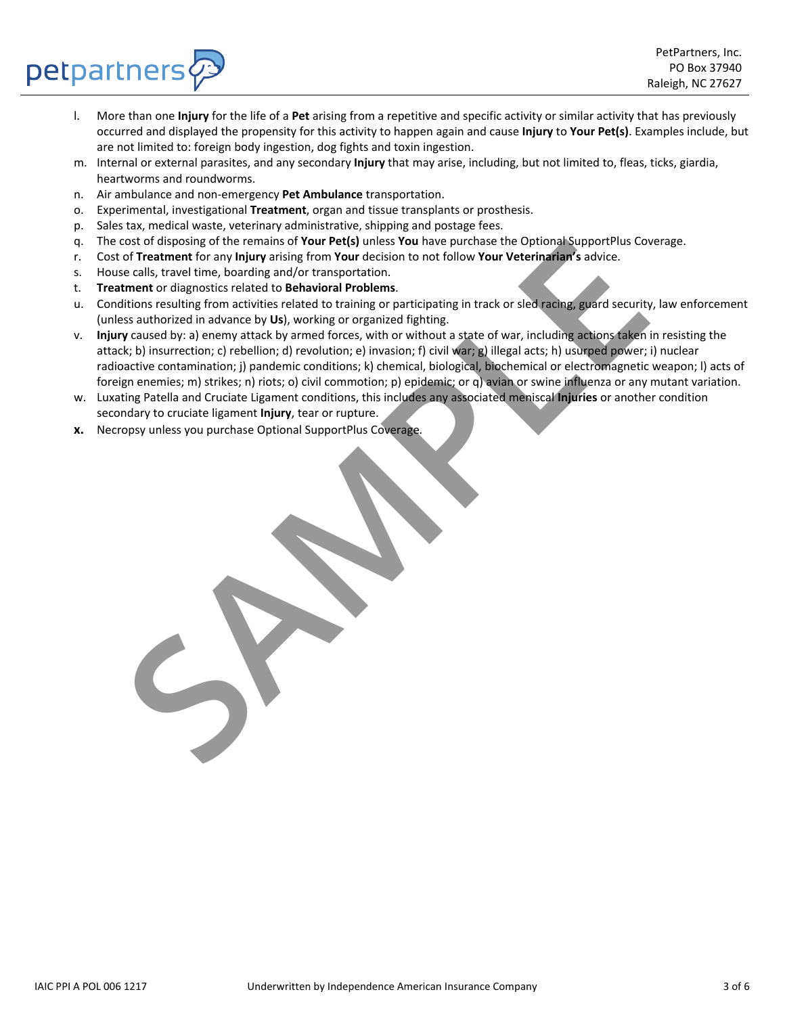

- l. More than one **Injury** for the life of a **Pet** arising from a repetitive and specific activity or similar activity that has previously occurred and displayed the propensity for this activity to happen again and cause **Injury** to **Your Pet(s)**. Examples include, but are not limited to: foreign body ingestion, dog fights and toxin ingestion.
- m. Internal or external parasites, and any secondary **Injury** that may arise, including, but not limited to, fleas, ticks, giardia, heartworms and roundworms.
- n. Air ambulance and non-emergency **Pet Ambulance** transportation.
- o. Experimental, investigational **Treatment**, organ and tissue transplants or prosthesis.
- p. Sales tax, medical waste, veterinary administrative, shipping and postage fees.
- q. The cost of disposing of the remains of **Your Pet(s)** unless **You** have purchase the Optional SupportPlus Coverage.
- r. Cost of **Treatment** for any **Injury** arising from **Your** decision to not follow **Your Veterinarian's** advice.
- s. House calls, travel time, boarding and/or transportation.

petpartners

- t. **Treatment** or diagnostics related to **Behavioral Problems**.
- u. Conditions resulting from activities related to training or participating in track or sled racing, guard security, law enforcement (unless authorized in advance by **Us**), working or organized fighting.
- v. **Injury** caused by: a) enemy attack by armed forces, with or without a state of war, including actions taken in resisting the attack; b) insurrection; c) rebellion; d) revolution; e) invasion; f) civil war; g) illegal acts; h) usurped power; i) nuclear radioactive contamination; j) pandemic conditions; k) chemical, biological, biochemical or electromagnetic weapon; l) acts of foreign enemies; m) strikes; n) riots; o) civil commotion; p) epidemic; or q) avian or swine influenza or any mutant variation. cost of uspessing of the remains of two **IPENI** unless You have purchase the Optional SupportPhus Cost and the center, tracting and/or transportation. The center of disposition term of dispositions related to **Dehavioral P**
- w. Luxating Patella and Cruciate Ligament conditions, this includes any associated meniscal **Injuries** or another condition secondary to cruciate ligament **Injury**, tear or rupture.
- **x.** Necropsy unless you purchase Optional SupportPlus Coverage*.*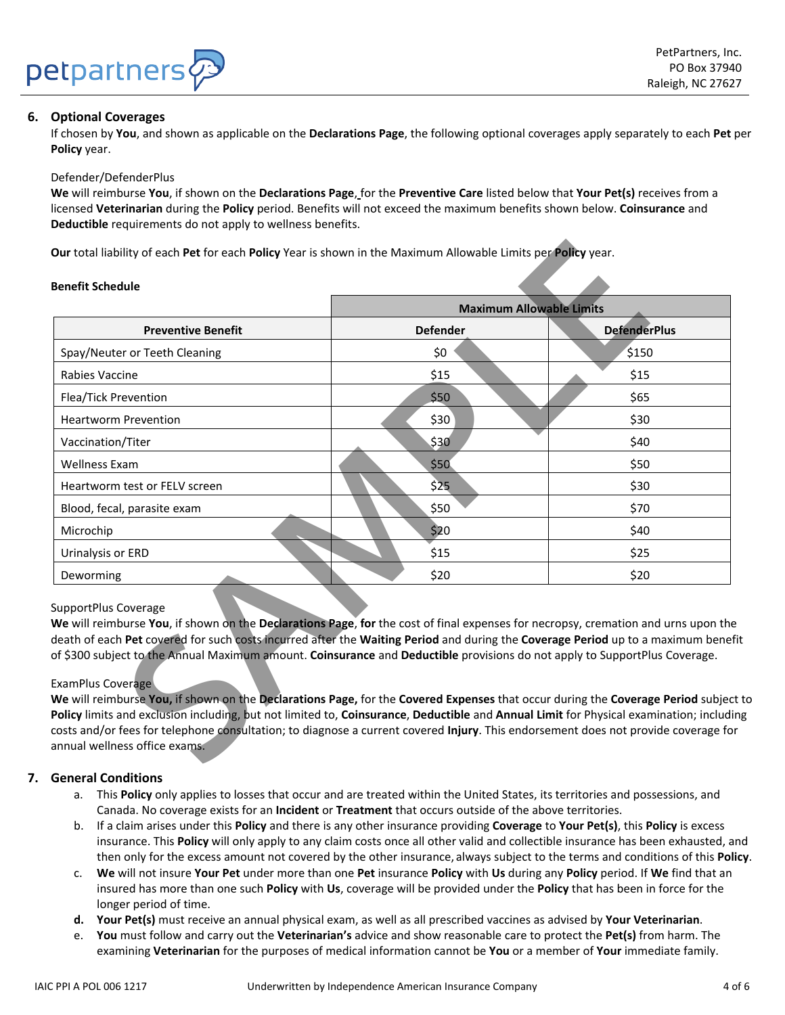

# **6. Optional Coverages**

If chosen by **You**, and shown as applicable on the **Declarations Page**, the following optional coverages apply separately to each **Pet** per **Policy** year.

#### Defender/DefenderPlus

**We** will reimburse **You**, if shown on the **Declarations Page**, for the **Preventive Care** listed below that **Your Pet(s)** receives from a licensed **Veterinarian** during the **Policy** period. Benefits will not exceed the maximum benefits shown below. **Coinsurance** and **Deductible** requirements do not apply to wellness benefits.

#### **Benefit Schedule**

|                                                                                                                                                                                                                                                                                                                                                                                                                                                                                                                                                                                                                                                                                                                                                                                                                                                                                                       | <b>Maximum Allowable Limits</b> |                     |
|-------------------------------------------------------------------------------------------------------------------------------------------------------------------------------------------------------------------------------------------------------------------------------------------------------------------------------------------------------------------------------------------------------------------------------------------------------------------------------------------------------------------------------------------------------------------------------------------------------------------------------------------------------------------------------------------------------------------------------------------------------------------------------------------------------------------------------------------------------------------------------------------------------|---------------------------------|---------------------|
| <b>Preventive Benefit</b>                                                                                                                                                                                                                                                                                                                                                                                                                                                                                                                                                                                                                                                                                                                                                                                                                                                                             | <b>Defender</b>                 | <b>DefenderPlus</b> |
| Spay/Neuter or Teeth Cleaning                                                                                                                                                                                                                                                                                                                                                                                                                                                                                                                                                                                                                                                                                                                                                                                                                                                                         | \$0                             | \$150               |
| Rabies Vaccine                                                                                                                                                                                                                                                                                                                                                                                                                                                                                                                                                                                                                                                                                                                                                                                                                                                                                        | \$15                            | \$15                |
| Flea/Tick Prevention                                                                                                                                                                                                                                                                                                                                                                                                                                                                                                                                                                                                                                                                                                                                                                                                                                                                                  | \$50                            | \$65                |
| <b>Heartworm Prevention</b>                                                                                                                                                                                                                                                                                                                                                                                                                                                                                                                                                                                                                                                                                                                                                                                                                                                                           | \$30                            | \$30                |
| Vaccination/Titer                                                                                                                                                                                                                                                                                                                                                                                                                                                                                                                                                                                                                                                                                                                                                                                                                                                                                     | \$30                            | \$40                |
| <b>Wellness Exam</b>                                                                                                                                                                                                                                                                                                                                                                                                                                                                                                                                                                                                                                                                                                                                                                                                                                                                                  | \$50                            | \$50                |
| Heartworm test or FELV screen                                                                                                                                                                                                                                                                                                                                                                                                                                                                                                                                                                                                                                                                                                                                                                                                                                                                         | \$25                            | \$30                |
| Blood, fecal, parasite exam                                                                                                                                                                                                                                                                                                                                                                                                                                                                                                                                                                                                                                                                                                                                                                                                                                                                           | \$50                            | \$70                |
| Microchip                                                                                                                                                                                                                                                                                                                                                                                                                                                                                                                                                                                                                                                                                                                                                                                                                                                                                             | \$20                            | \$40                |
| Urinalysis or ERD                                                                                                                                                                                                                                                                                                                                                                                                                                                                                                                                                                                                                                                                                                                                                                                                                                                                                     | \$15                            | \$25                |
| Deworming                                                                                                                                                                                                                                                                                                                                                                                                                                                                                                                                                                                                                                                                                                                                                                                                                                                                                             | \$20                            | \$20                |
| SupportPlus Coverage<br>We will reimburse You, if shown on the Declarations Page, for the cost of final expenses for necropsy, cremation and urns upon th<br>death of each Pet covered for such costs incurred after the Waiting Period and during the Coverage Period up to a maximum bene<br>of \$300 subject to the Annual Maximum amount. Coinsurance and Deductible provisions do not apply to SupportPlus Coverage.<br><b>ExamPlus Coverage</b><br>We will reimburse You, if shown on the Declarations Page, for the Covered Expenses that occur during the Coverage Period subje<br>Policy limits and exclusion including, but not limited to, Coinsurance, Deductible and Annual Limit for Physical examination; includ<br>costs and/or fees for telephone consultation; to diagnose a current covered Injury. This endorsement does not provide coverage fo<br>annual wellness office exams. |                                 |                     |

## SupportPlus Coverage

#### ExamPlus Coverage

## **7. General Conditions**

- a. This **Policy** only applies to losses that occur and are treated within the United States, its territories and possessions, and Canada. No coverage exists for an **Incident** or **Treatment** that occurs outside of the above territories.
- b. If a claim arises under this **Policy** and there is any other insurance providing **Coverage** to **Your Pet(s)**, this **Policy** is excess insurance. This **Policy** will only apply to any claim costs once all other valid and collectible insurance has been exhausted, and then only for the excess amount not covered by the other insurance, always subject to the terms and conditions of this **Policy**.
- c. **We** will not insure **Your Pet** under more than one **Pet** insurance **Policy** with **Us** during any **Policy** period. If **We** find that an insured has more than one such **Policy** with **Us**, coverage will be provided under the **Policy** that has been in force for the longer period of time.
- **d. Your Pet(s)** must receive an annual physical exam, as well as all prescribed vaccines as advised by **Your Veterinarian**.
- e. **You** must follow and carry out the **Veterinarian's** advice and show reasonable care to protect the **Pet(s)** from harm. The examining **Veterinarian** for the purposes of medical information cannot be **You** or a member of **Your** immediate family.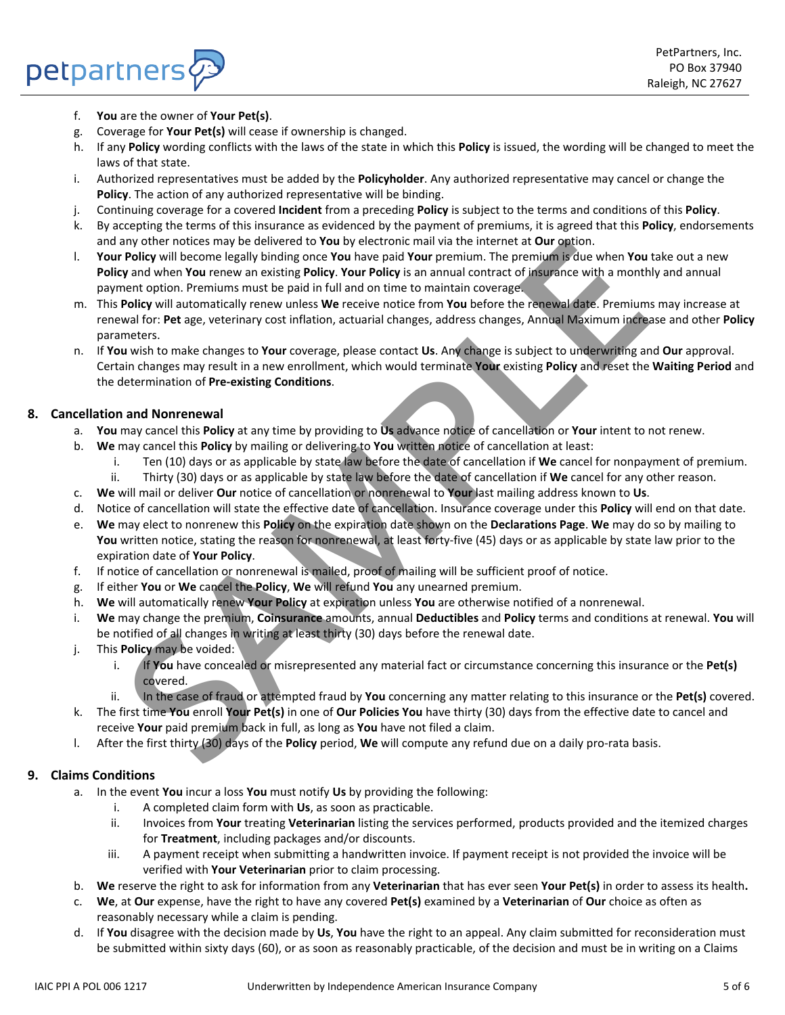f. **You** are the owner of **Your Pet(s)**.

petpartners

- g. Coverage for **Your Pet(s)** will cease if ownership is changed.
- h. If any **Policy** wording conflicts with the laws of the state in which this **Policy** is issued, the wording will be changed to meet the laws of that state.
- i. Authorized representatives must be added by the **Policyholder**. Any authorized representative may cancel or change the **Policy**. The action of any authorized representative will be binding.
- j. Continuing coverage for a covered **Incident** from a preceding **Policy** is subject to the terms and conditions of this **Policy**.
- k. By accepting the terms of this insurance as evidenced by the payment of premiums, it is agreed that this **Policy**, endorsements and any other notices may be delivered to **You** by electronic mail via the internet at **Our** option.
- l. **Your Policy** will become legally binding once **You** have paid **Your** premium. The premium is due when **You** take out a new **Policy** and when **You** renew an existing **Policy**. **Your Policy** is an annual contract of insurance with a monthly and annual payment option. Premiums must be paid in full and on time to maintain coverage.
- m. This **Policy** will automatically renew unless **We** receive notice from **You** before the renewal date. Premiums may increase at renewal for: **Pet** age, veterinary cost inflation, actuarial changes, address changes, Annual Maximum increase and other **Policy** parameters. any other notices may be eclivered to You by electronic mail via the internet at Gur popinon. The permuin of the method of the method of the method of the method of the method of the method of the method of the method of t
- n. If **You** wish to make changes to **Your** coverage, please contact **Us**. Any change is subject to underwriting and **Our** approval. Certain changes may result in a new enrollment, which would terminate **Your** existing **Policy** and reset the **Waiting Period** and the determination of **Pre-existing Conditions**.

## **8. Cancellation and Nonrenewal**

- a. **You** may cancel this **Policy** at any time by providing to **Us** advance notice of cancellation or **Your** intent to not renew.
- b. **We** may cancel this **Policy** by mailing or delivering to **You** written notice of cancellation at least:
	- i. Ten (10) days or as applicable by state law before the date of cancellation if **We** cancel for nonpayment of premium.
	- ii. Thirty (30) days or as applicable by state law before the date of cancellation if **We** cancel for any other reason.
- c. **We** will mail or deliver **Our** notice of cancellation or nonrenewal to **Your** last mailing address known to **Us**.
- d. Notice of cancellation will state the effective date of cancellation. Insurance coverage under this **Policy** will end on that date.
- e. **We** may elect to nonrenew this **Policy** on the expiration date shown on the **Declarations Page**. **We** may do so by mailing to **You** written notice, stating the reason for nonrenewal, at least forty-five (45) days or as applicable by state law prior to the expiration date of **Your Policy**.
- f. If notice of cancellation or nonrenewal is mailed, proof of mailing will be sufficient proof of notice.
- g. If either **You** or **We** cancel the **Policy**, **We** will refund **You** any unearned premium.
- h. **We** will automatically renew **Your Policy** at expiration unless **You** are otherwise notified of a nonrenewal.
- i. **We** may change the premium, **Coinsurance** amounts, annual **Deductibles** and **Policy** terms and conditions at renewal. **You** will be notified of all changes in writing at least thirty (30) days before the renewal date.
- j. This **Policy** may be voided:
	- i. If **You** have concealed or misrepresented any material fact or circumstance concerning this insurance or the **Pet(s)** covered.
	- ii. In the case of fraud or attempted fraud by **You** concerning any matter relating to this insurance or the **Pet(s)** covered.
- k. The first time **You** enroll **Your Pet(s)** in one of **Our Policies You** have thirty (30) days from the effective date to cancel and receive **Your** paid premium back in full, as long as **You** have not filed a claim.
- l. After the first thirty (30) days of the **Policy** period, **We** will compute any refund due on a daily pro-rata basis.

# **9. Claims Conditions**

- a. In the event **You** incur a loss **You** must notify **Us** by providing the following:
	- i. A completed claim form with **Us**, as soon as practicable.
	- ii. Invoices from **Your** treating **Veterinarian** listing the services performed, products provided and the itemized charges for **Treatment**, including packages and/or discounts.
	- iii. A payment receipt when submitting a handwritten invoice. If payment receipt is not provided the invoice will be verified with **Your Veterinarian** prior to claim processing.
- b. **We** reserve the right to ask for information from any **Veterinarian** that has ever seen **Your Pet(s)** in order to assess its health**.**
- c. **We**, at **Our** expense, have the right to have any covered **Pet(s)** examined by a **Veterinarian** of **Our** choice as often as reasonably necessary while a claim is pending.
- d. If **You** disagree with the decision made by **Us**, **You** have the right to an appeal. Any claim submitted for reconsideration must be submitted within sixty days (60), or as soon as reasonably practicable, of the decision and must be in writing on a Claims